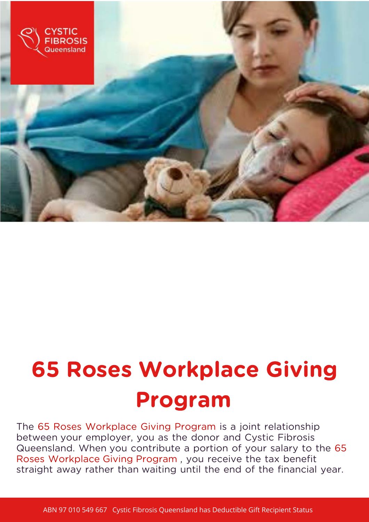

# 65 Roses Workplace Giving Program

The 65 Roses Workplace Giving Program is a joint relationship between your employer, you as the donor and Cystic Fibrosis Queensland. When you contribute a portion of your salary to the 65 Roses Workplace Giving Program , you receive the tax benefit straight away rather than waiting until the end of the financial year.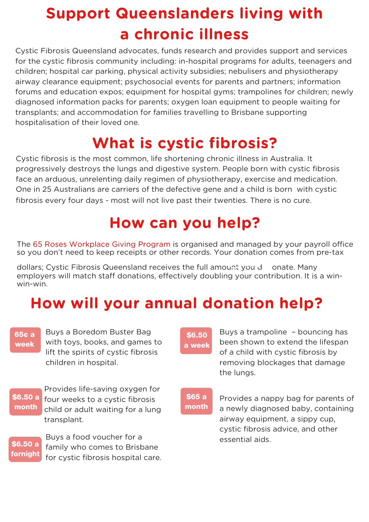### Sheania illnace Support Queenslanders living with a chronic illness

Cystic Fibrosis Queensland advocates, funds research and provides support and services for the cystic fibrosis community including: in-hospital programs for adults, teenagers and children; hospital car parking, physical activity subsidies; nebulisers and physiotherapy airway clearance equipment; psychosocial events for parents and partners; information forums and education expos; equipment for hospital gyms; trampolines for children; newly diagnosed information packs for parents; oxygen loan equipment to people waiting for transplants; and accommodation for families travelling to Brisbane supporting hospitalisation of their loved one.

### What is cystic fibrosis?

Cystic fibrosis is the most common, life shortening chronic illness in Australia. It progressively destroys the lungs and digestive system. People born with cystic fibrosis face an arduous, unrelenting daily regimen of physiotherapy, exercise and medication. One in 25 Australians are carriers of the defective gene and a child is born with cystic fibrosis every four days - most will not live past their twenties. There is no cure.

### How can you help?

The 65 Roses Workplace Giving Program is organised and managed by your payroll office so you don't need to keep receipts or other records. Your donation comes from pre-tax

dollars; Cystic Fibrosis Queensland receives the full amount you d onate. Many employers will match staff donations, effectively doubling your contribution. It is a winwin-win.

### How will your annual donation help?

#### 65¢ a week

Buys a Boredom Buster Bag with toys, books, and games to lift the spirits of cystic fibrosis children in hospital.

\$6.50 a month

Provides life-saving oxygen for four weeks to a cystic fibrosis child or adult waiting for a lung transplant.

\$6.50 a fornight

Buys a food voucher for a family who comes to Brisbane for cystic fibrosis hospital care.

\$6.50 a week

Buys a trampoline – bouncing has been shown to extend the lifespan of a child with cystic fibrosis by removing blockages that damage the lungs.

#### \$65 a month

Provides a nappy bag for parents of a newly diagnosed baby, containing airway equipment, a sippy cup, cystic fibrosis advice, and other essential aids.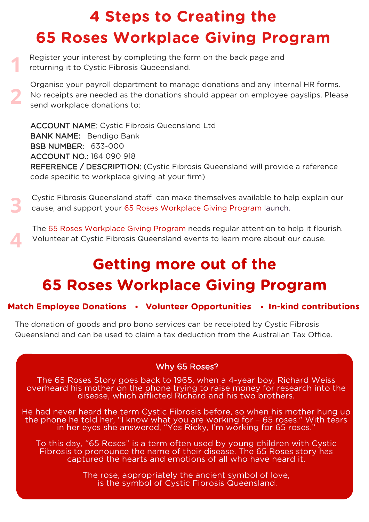# 4 Steps to Creating the 65 Roses Workplace Giving Program

Register your interest by completing the form on the back page and returning it to Cystic Fibrosis Queeensland. **1**

Organise your payroll department to manage donations and any internal HR forms. No receipts are needed as the donations should appear on employee payslips. Please send workplace donations to: **2**

ACCOUNT NAME: Cystic Fibrosis Queensland Ltd BANK NAME: Bendigo Bank BSB NUMBER: 633-000 ACCOUNT NO.: 184 090 918 REFERENCE / DESCRIPTION: (Cystic Fibrosis Queensland will provide a reference code specific to workplace giving at your firm)

Cystic Fibrosis Queensland staff can make themselves available to help explain our cause, and support your 65 Roses Workplace Giving Program launch. **3**

The 65 Roses Workplace Giving Program needs regular attention to help it flourish. Volunteer at Cystic Fibrosis Queensland events to learn more about our cause.

**4**

# Getting more out of the 65 Roses Workplace Giving Program

### Match Employee Donations • Volunteer Opportunities • In-kind contributions

The donation of goods and pro bono services can be receipted by Cystic Fibrosis Queensland and can be used to claim a tax deduction from the Australian Tax Office.

### Why 65 Roses?

The 65 Roses Story goes back to 1965, when a 4-year boy, Richard Weiss overheard his mother on the phone trying to raise money for research into the disease, which afflicted Richard and his two brothers.

He had never heard the term Cystic Fibrosis before, so when his mother hung up the phone he told her, "I know what you are working for – 65 roses." With tears in her eyes she answered, "Yes Ricky, I'm working for 65 roses."

To this day, "65 Roses" is a term often used by young children with Cystic Fibrosis to pronounce the name of their disease. The 65 Roses story has captured the hearts and emotions of all who have heard it.

> The rose, appropriately the ancient symbol of love, is the symbol of Cystic Fibrosis Queensland.